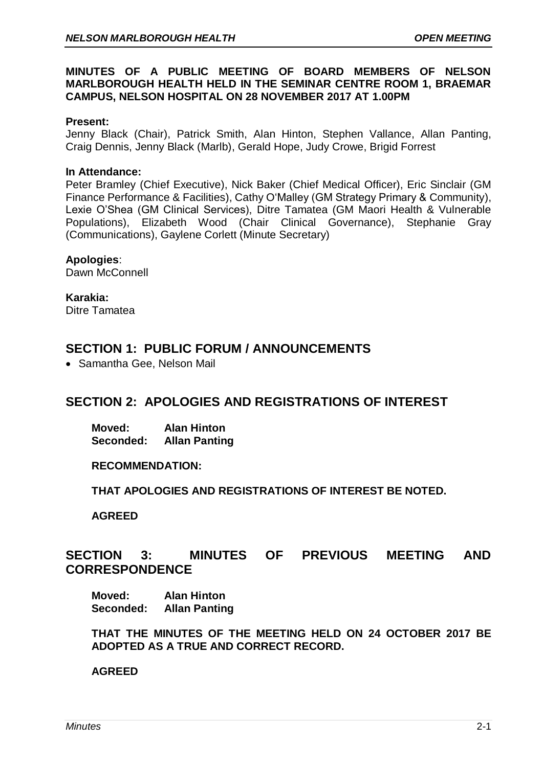## **MINUTES OF A PUBLIC MEETING OF BOARD MEMBERS OF NELSON MARLBOROUGH HEALTH HELD IN THE SEMINAR CENTRE ROOM 1, BRAEMAR CAMPUS, NELSON HOSPITAL ON 28 NOVEMBER 2017 AT 1.00PM**

#### **Present:**

Jenny Black (Chair), Patrick Smith, Alan Hinton, Stephen Vallance, Allan Panting, Craig Dennis, Jenny Black (Marlb), Gerald Hope, Judy Crowe, Brigid Forrest

#### **In Attendance:**

Peter Bramley (Chief Executive), Nick Baker (Chief Medical Officer), Eric Sinclair (GM Finance Performance & Facilities), Cathy O'Malley (GM Strategy Primary & Community), Lexie O'Shea (GM Clinical Services), Ditre Tamatea (GM Maori Health & Vulnerable Populations), Elizabeth Wood (Chair Clinical Governance), Stephanie Gray (Communications), Gaylene Corlett (Minute Secretary)

## **Apologies**:

Dawn McConnell

**Karakia:** Ditre Tamatea

# **SECTION 1: PUBLIC FORUM / ANNOUNCEMENTS**

• Samantha Gee, Nelson Mail

# **SECTION 2: APOLOGIES AND REGISTRATIONS OF INTEREST**

**Moved: Alan Hinton Seconded: Allan Panting**

**RECOMMENDATION:** 

**THAT APOLOGIES AND REGISTRATIONS OF INTEREST BE NOTED.**

**AGREED** 

# **SECTION 3: MINUTES OF PREVIOUS MEETING AND CORRESPONDENCE**

**Moved: Alan Hinton Seconded: Allan Panting**

**THAT THE MINUTES OF THE MEETING HELD ON 24 OCTOBER 2017 BE ADOPTED AS A TRUE AND CORRECT RECORD.**

**AGREED**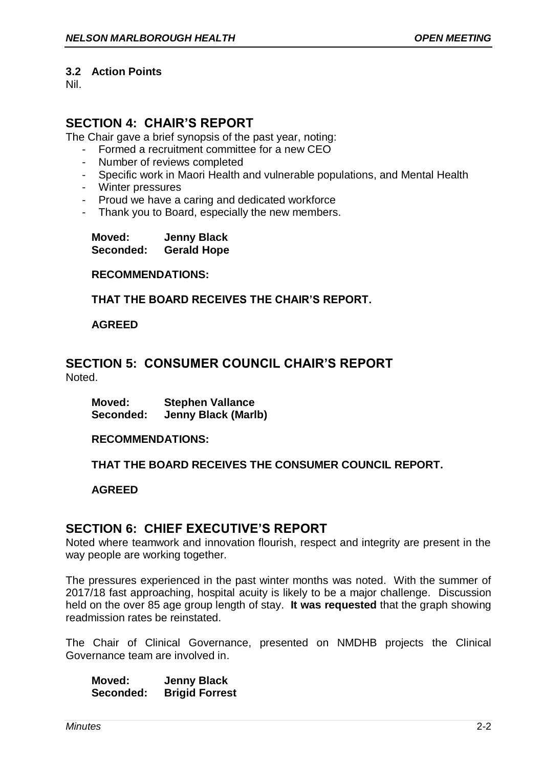#### **3.2 Action Points**

Nil.

# **SECTION 4: CHAIR'S REPORT**

The Chair gave a brief synopsis of the past year, noting:

- Formed a recruitment committee for a new CEO
- Number of reviews completed
- Specific work in Maori Health and vulnerable populations, and Mental Health
- Winter pressures
- Proud we have a caring and dedicated workforce
- Thank you to Board, especially the new members.

**Moved: Jenny Black Seconded: Gerald Hope**

**RECOMMENDATIONS:**

**THAT THE BOARD RECEIVES THE CHAIR'S REPORT.**

## **AGREED**

## **SECTION 5: CONSUMER COUNCIL CHAIR'S REPORT** Noted.

**Moved: Stephen Vallance Seconded: Jenny Black (Marlb)**

#### **RECOMMENDATIONS:**

## **THAT THE BOARD RECEIVES THE CONSUMER COUNCIL REPORT.**

#### **AGREED**

## **SECTION 6: CHIEF EXECUTIVE'S REPORT**

Noted where teamwork and innovation flourish, respect and integrity are present in the way people are working together.

The pressures experienced in the past winter months was noted. With the summer of 2017/18 fast approaching, hospital acuity is likely to be a major challenge. Discussion held on the over 85 age group length of stay. **It was requested** that the graph showing readmission rates be reinstated.

The Chair of Clinical Governance, presented on NMDHB projects the Clinical Governance team are involved in.

**Moved: Jenny Black Seconded: Brigid Forrest**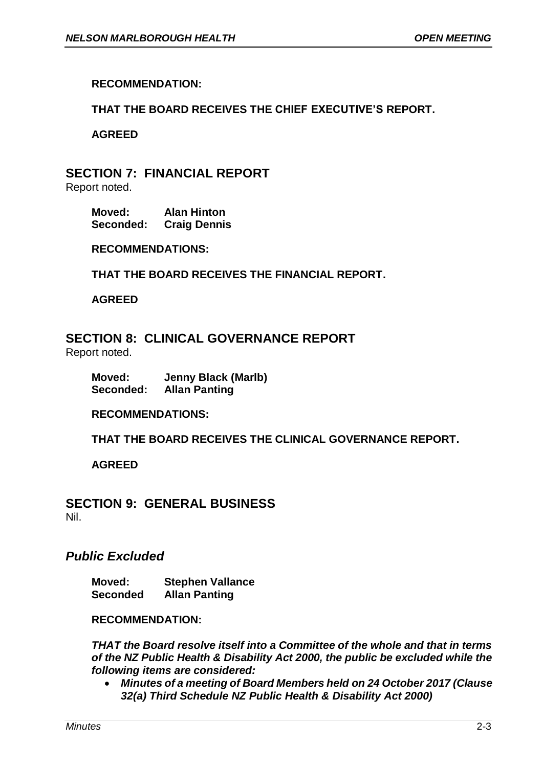## **RECOMMENDATION:**

## **THAT THE BOARD RECEIVES THE CHIEF EXECUTIVE'S REPORT.**

#### **AGREED**

# **SECTION 7: FINANCIAL REPORT**

Report noted.

**Moved: Alan Hinton Seconded: Craig Dennis**

**RECOMMENDATIONS:**

**THAT THE BOARD RECEIVES THE FINANCIAL REPORT.**

**AGREED**

**SECTION 8: CLINICAL GOVERNANCE REPORT**

Report noted.

**Moved: Jenny Black (Marlb) Seconded: Allan Panting**

**RECOMMENDATIONS:**

**THAT THE BOARD RECEIVES THE CLINICAL GOVERNANCE REPORT.**

**AGREED**

**SECTION 9: GENERAL BUSINESS** Nil.

## *Public Excluded*

**Moved: Stephen Vallance Seconded Allan Panting**

#### **RECOMMENDATION:**

*THAT the Board resolve itself into a Committee of the whole and that in terms of the NZ Public Health & Disability Act 2000, the public be excluded while the following items are considered:*

 *Minutes of a meeting of Board Members held on 24 October 2017 (Clause 32(a) Third Schedule NZ Public Health & Disability Act 2000)*